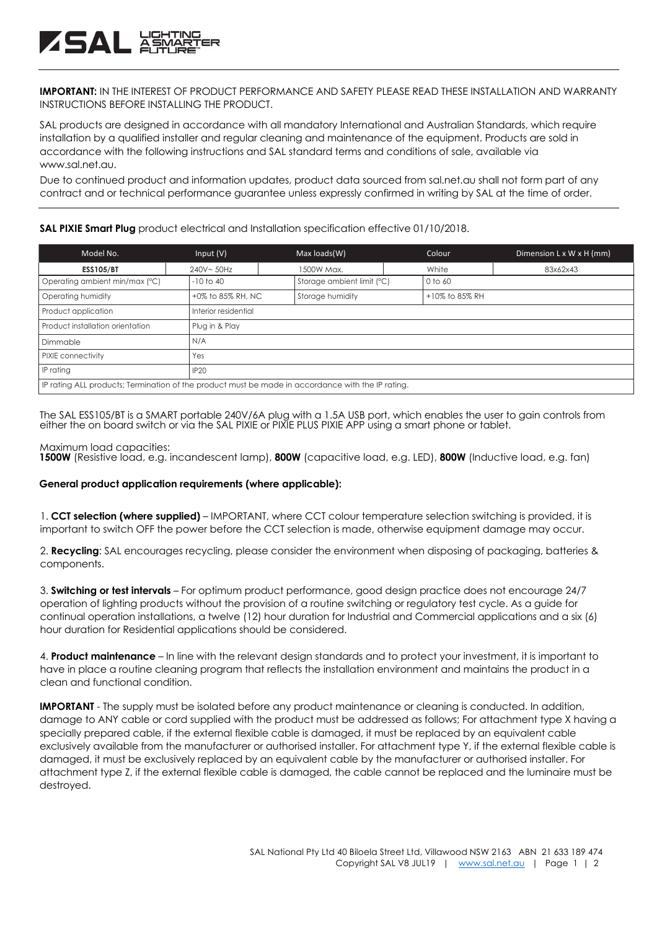**IMPORTANT:** IN THE INTEREST OF PRODUCT PERFORMANCE AND SAFETY PLEASE READ THESE INSTALLATION AND WARRANTY INSTRUCTIONS BEFORE INSTALLING THE PRODUCT.

SAL products are designed in accordance with all mandatory International and Australian Standards, which require installation by a qualified installer and regular cleaning and maintenance of the equipment. Products are sold in accordance with the following instructions and SAL standard terms and conditions of sale, available via www.sal.net.au.

Due to continued product and information updates, product data sourced from sal.net.au shall not form part of any contract and or technical performance guarantee unless expressly confirmed in writing by SAL at the time of order.

### **SAL PIXIE Smart Plug** product electrical and Installation specification effective 01/10/2018.

| Model No.                                                                                         | Input $(V)$          | Max loads(W)               | Colour         | Dimension L x W x H (mm) |  |
|---------------------------------------------------------------------------------------------------|----------------------|----------------------------|----------------|--------------------------|--|
| <b>ESS105/BT</b>                                                                                  | 240V~50Hz            | 1500W Max.                 | White          | 83x62x43                 |  |
| Operating ambient min/max (°C)                                                                    | $-10$ to 40          | Storage ambient limit (°C) | 0 to 60        |                          |  |
| Operating humidity                                                                                | +0% to 85% RH, NC    | Storage humidity           | +10% to 85% RH |                          |  |
| Product application                                                                               | Interior residential |                            |                |                          |  |
| Product installation orientation                                                                  | Plug in & Play       |                            |                |                          |  |
| Dimmable                                                                                          | N/A                  |                            |                |                          |  |
| PIXIE connectivity                                                                                | Yes                  |                            |                |                          |  |
| IP rating                                                                                         | IP20                 |                            |                |                          |  |
| IP rating ALL products; Termination of the product must be made in accordance with the IP rating. |                      |                            |                |                          |  |

The SAL ESS105/BT is a SMART portable 240V/6A plug with a 1.5A USB port, which enables the user to gain controls from either the on board switch or via the SAL PIXIE or PIXIE PLUS PIXIE APP using a smart phone or tablet.

### Maximum load capacities:

ZSAL XX

**1500W** (Resistive load, e.g. incandescent lamp), **800W** (capacitive load, e.g. LED), **800W** (Inductive load, e.g. fan)

## **General product application requirements (where applicable):**

1. **CCT selection (where supplied)** – IMPORTANT, where CCT colour temperature selection switching is provided, it is important to switch OFF the power before the CCT selection is made, otherwise equipment damage may occur.

2. **Recycling**: SAL encourages recycling, please consider the environment when disposing of packaging, batteries & components.

3. **Switching or test intervals** – For optimum product performance, good design practice does not encourage 24/7 operation of lighting products without the provision of a routine switching or regulatory test cycle. As a guide for continual operation installations, a twelve (12) hour duration for Industrial and Commercial applications and a six (6) hour duration for Residential applications should be considered.

4. **Product maintenance** – In line with the relevant design standards and to protect your investment, it is important to have in place a routine cleaning program that reflects the installation environment and maintains the product in a clean and functional condition.

**IMPORTANT** - The supply must be isolated before any product maintenance or cleaning is conducted. In addition, damage to ANY cable or cord supplied with the product must be addressed as follows; For attachment type X having a specially prepared cable, if the external flexible cable is damaged, it must be replaced by an equivalent cable exclusively available from the manufacturer or authorised installer. For attachment type Y, if the external flexible cable is damaged, it must be exclusively replaced by an equivalent cable by the manufacturer or authorised installer. For attachment type Z, if the external flexible cable is damaged, the cable cannot be replaced and the luminaire must be destroyed.